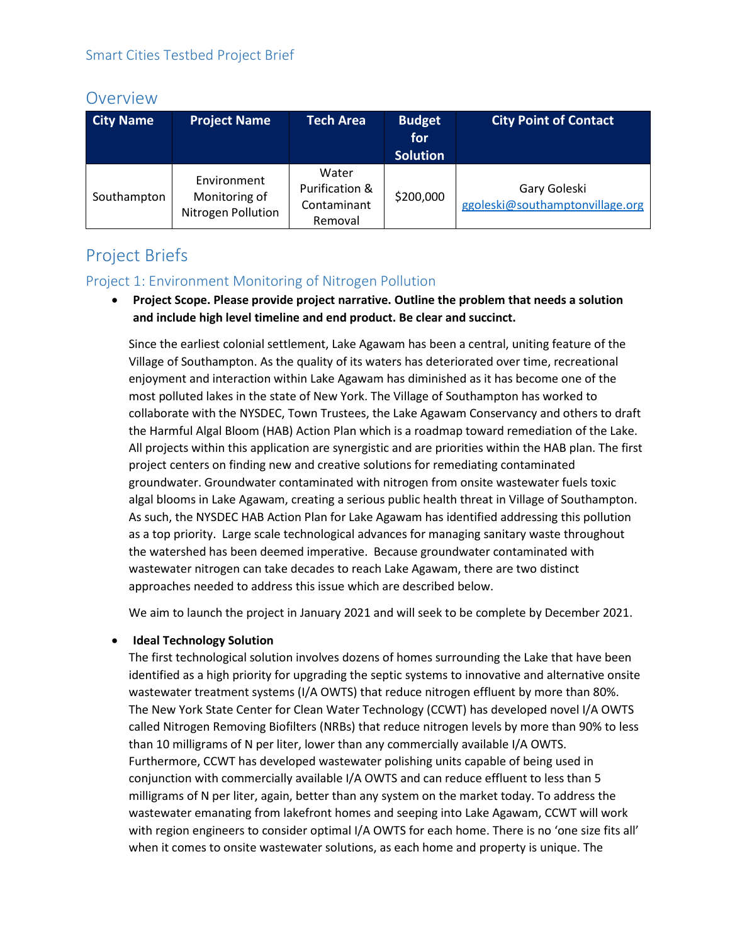# Overview

| <b>City Name</b> | <b>Project Name</b>                                | <b>Tech Area</b>                                  | <b>Budget</b><br>for<br><b>Solution</b> | <b>City Point of Contact</b>                    |
|------------------|----------------------------------------------------|---------------------------------------------------|-----------------------------------------|-------------------------------------------------|
| Southampton      | Environment<br>Monitoring of<br>Nitrogen Pollution | Water<br>Purification &<br>Contaminant<br>Removal | \$200,000                               | Gary Goleski<br>ggoleski@southamptonvillage.org |

# Project Briefs

## Project 1: Environment Monitoring of Nitrogen Pollution

• **Project Scope. Please provide project narrative. Outline the problem that needs a solution and include high level timeline and end product. Be clear and succinct.**

Since the earliest colonial settlement, Lake Agawam has been a central, uniting feature of the Village of Southampton. As the quality of its waters has deteriorated over time, recreational enjoyment and interaction within Lake Agawam has diminished as it has become one of the most polluted lakes in the state of New York. The Village of Southampton has worked to collaborate with the NYSDEC, Town Trustees, the Lake Agawam Conservancy and others to draft the Harmful Algal Bloom (HAB) Action Plan which is a roadmap toward remediation of the Lake. All projects within this application are synergistic and are priorities within the HAB plan. The first project centers on finding new and creative solutions for remediating contaminated groundwater. Groundwater contaminated with nitrogen from onsite wastewater fuels toxic algal blooms in Lake Agawam, creating a serious public health threat in Village of Southampton. As such, the NYSDEC HAB Action Plan for Lake Agawam has identified addressing this pollution as a top priority. Large scale technological advances for managing sanitary waste throughout the watershed has been deemed imperative. Because groundwater contaminated with wastewater nitrogen can take decades to reach Lake Agawam, there are two distinct approaches needed to address this issue which are described below.

We aim to launch the project in January 2021 and will seek to be complete by December 2021.

### • **Ideal Technology Solution**

The first technological solution involves dozens of homes surrounding the Lake that have been identified as a high priority for upgrading the septic systems to innovative and alternative onsite wastewater treatment systems (I/A OWTS) that reduce nitrogen effluent by more than 80%. The New York State Center for Clean Water Technology (CCWT) has developed novel I/A OWTS called Nitrogen Removing Biofilters (NRBs) that reduce nitrogen levels by more than 90% to less than 10 milligrams of N per liter, lower than any commercially available I/A OWTS. Furthermore, CCWT has developed wastewater polishing units capable of being used in conjunction with commercially available I/A OWTS and can reduce effluent to less than 5 milligrams of N per liter, again, better than any system on the market today. To address the wastewater emanating from lakefront homes and seeping into Lake Agawam, CCWT will work with region engineers to consider optimal I/A OWTS for each home. There is no 'one size fits all' when it comes to onsite wastewater solutions, as each home and property is unique. The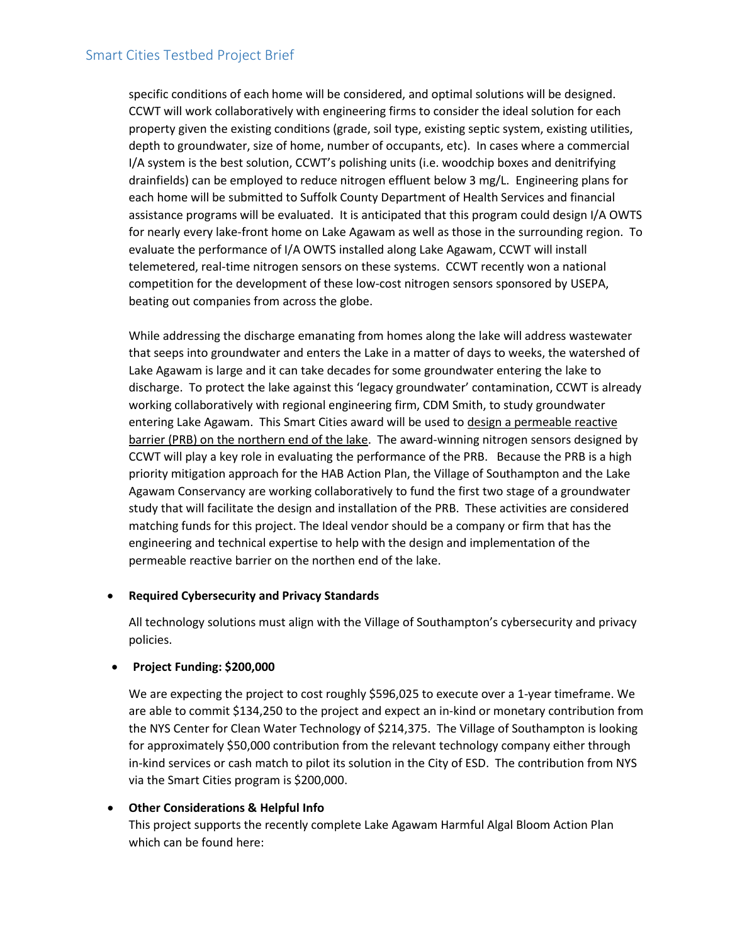#### Smart Cities Testbed Project Brief

specific conditions of each home will be considered, and optimal solutions will be designed. CCWT will work collaboratively with engineering firms to consider the ideal solution for each property given the existing conditions (grade, soil type, existing septic system, existing utilities, depth to groundwater, size of home, number of occupants, etc). In cases where a commercial I/A system is the best solution, CCWT's polishing units (i.e. woodchip boxes and denitrifying drainfields) can be employed to reduce nitrogen effluent below 3 mg/L. Engineering plans for each home will be submitted to Suffolk County Department of Health Services and financial assistance programs will be evaluated. It is anticipated that this program could design I/A OWTS for nearly every lake-front home on Lake Agawam as well as those in the surrounding region. To evaluate the performance of I/A OWTS installed along Lake Agawam, CCWT will install telemetered, real-time nitrogen sensors on these systems. CCWT recently won a national competition for the development of these low-cost nitrogen sensors sponsored by USEPA, beating out companies from across the globe.

While addressing the discharge emanating from homes along the lake will address wastewater that seeps into groundwater and enters the Lake in a matter of days to weeks, the watershed of Lake Agawam is large and it can take decades for some groundwater entering the lake to discharge. To protect the lake against this 'legacy groundwater' contamination, CCWT is already working collaboratively with regional engineering firm, CDM Smith, to study groundwater entering Lake Agawam. This Smart Cities award will be used to design a permeable reactive barrier (PRB) on the northern end of the lake. The award-winning nitrogen sensors designed by CCWT will play a key role in evaluating the performance of the PRB. Because the PRB is a high priority mitigation approach for the HAB Action Plan, the Village of Southampton and the Lake Agawam Conservancy are working collaboratively to fund the first two stage of a groundwater study that will facilitate the design and installation of the PRB. These activities are considered matching funds for this project. The Ideal vendor should be a company or firm that has the engineering and technical expertise to help with the design and implementation of the permeable reactive barrier on the northen end of the lake.

#### • **Required Cybersecurity and Privacy Standards**

All technology solutions must align with the Village of Southampton's cybersecurity and privacy policies.

#### • **Project Funding: \$200,000**

We are expecting the project to cost roughly \$596,025 to execute over a 1-year timeframe. We are able to commit \$134,250 to the project and expect an in-kind or monetary contribution from the NYS Center for Clean Water Technology of \$214,375. The Village of Southampton is looking for approximately \$50,000 contribution from the relevant technology company either through in-kind services or cash match to pilot its solution in the City of ESD. The contribution from NYS via the Smart Cities program is \$200,000.

#### • **Other Considerations & Helpful Info**

This project supports the recently complete Lake Agawam Harmful Algal Bloom Action Plan which can be found here: